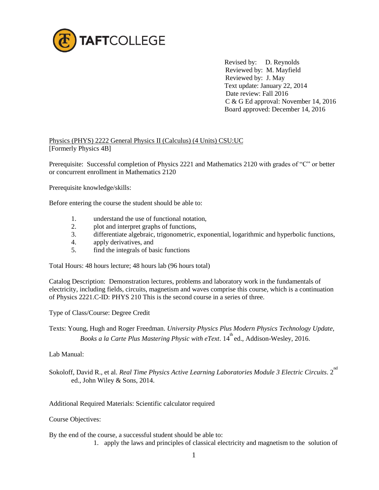

 Revised by: D. Reynolds Reviewed by: M. Mayfield Reviewed by: J. May Text update: January 22, 2014 Date review: Fall 2016 C & G Ed approval: November 14, 2016 Board approved: December 14, 2016

## Physics (PHYS) 2222 General Physics II (Calculus) (4 Units) CSU:UC [Formerly Physics 4B]

Prerequisite: Successful completion of Physics 2221 and Mathematics 2120 with grades of "C" or better or concurrent enrollment in Mathematics 2120

Prerequisite knowledge/skills:

Before entering the course the student should be able to:

- 1. understand the use of functional notation,
- 2. plot and interpret graphs of functions,
- 3. differentiate algebraic, trigonometric, exponential, logarithmic and hyperbolic functions,
- 4. apply derivatives, and
- 5. find the integrals of basic functions

Total Hours: 48 hours lecture; 48 hours lab (96 hours total)

Catalog Description: Demonstration lectures, problems and laboratory work in the fundamentals of electricity, including fields, circuits, magnetism and waves comprise this course, which is a continuation of Physics 2221.C-ID: PHYS 210 This is the second course in a series of three.

Type of Class/Course: Degree Credit

Texts: Young, Hugh and Roger Freedman. *University Physics Plus Modern Physics Technology Update,*  Books a la Carte Plus Mastering Physic with eText. 14<sup>th</sup> ed., Addison-Wesley, 2016.

Lab Manual:

Sokoloff, David R., et al. *Real Time Physics Active Learning Laboratories Module 3 Electric Circuits.* 2<sup>nd</sup> ed., John Wiley & Sons, 2014.

Additional Required Materials: Scientific calculator required

Course Objectives:

By the end of the course, a successful student should be able to:

1. apply the laws and principles of classical electricity and magnetism to the solution of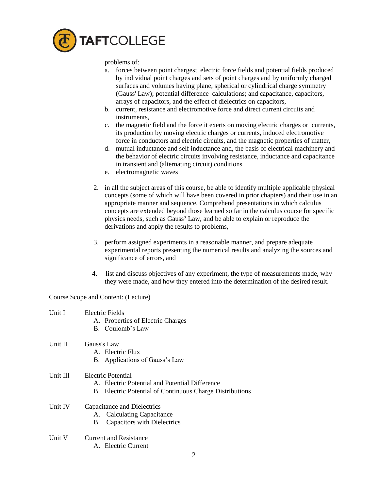

problems of:

- a. forces between point charges; electric force fields and potential fields produced by individual point charges and sets of point charges and by uniformly charged surfaces and volumes having plane, spherical or cylindrical charge symmetry (Gauss' Law); potential difference calculations; and capacitance, capacitors, arrays of capacitors, and the effect of dielectrics on capacitors,
- b. current, resistance and electromotive force and direct current circuits and instruments,
- c. the magnetic field and the force it exerts on moving electric charges or currents, its production by moving electric charges or currents, induced electromotive force in conductors and electric circuits, and the magnetic properties of matter,
- d. mutual inductance and self inductance and, the basis of electrical machinery and the behavior of electric circuits involving resistance, inductance and capacitance in transient and (alternating circuit) conditions
- e. electromagnetic waves
- 2. in all the subject areas of this course, be able to identify multiple applicable physical concepts (some of which will have been covered in prior chapters) and their use in an appropriate manner and sequence. Comprehend presentations in which calculus concepts are extended beyond those learned so far in the calculus course for specific physics needs, such as Gauss**'** Law, and be able to explain or reproduce the derivations and apply the results to problems,
- 3. perform assigned experiments in a reasonable manner, and prepare adequate experimental reports presenting the numerical results and analyzing the sources and significance of errors, and
- 4**.** list and discuss objectives of any experiment, the type of measurements made, why they were made, and how they entered into the determination of the desired result.

Course Scope and Content: (Lecture)

| Unit I   | Electric Fields<br>A. Properties of Electric Charges<br>B. Coulomb's Law                                                         |
|----------|----------------------------------------------------------------------------------------------------------------------------------|
| Unit II  | Gauss's Law<br>A. Electric Flux<br>B. Applications of Gauss's Law                                                                |
| Unit III | Electric Potential<br>A. Electric Potential and Potential Difference<br>B. Electric Potential of Continuous Charge Distributions |
| Unit IV  | Capacitance and Dielectrics<br>A. Calculating Capacitance<br><b>Capacitors with Dielectrics</b><br>В.                            |
| Unit V   | <b>Current and Resistance</b><br>A. Electric Current<br>ာ                                                                        |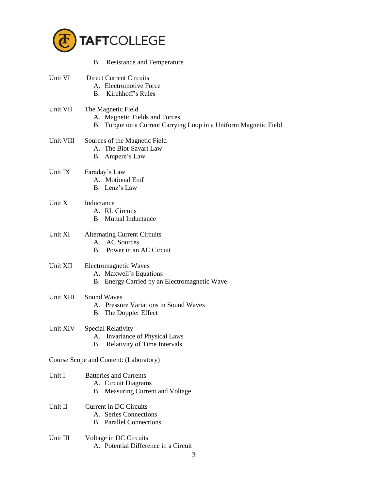

|                                        | B. Resistance and Temperature                                                                                           |  |  |
|----------------------------------------|-------------------------------------------------------------------------------------------------------------------------|--|--|
| Unit VI                                | <b>Direct Current Circuits</b><br>A. Electromotive Force<br><b>B.</b> Kirchhoff's Rules                                 |  |  |
| Unit VII                               | The Magnetic Field<br>A. Magnetic Fields and Forces<br>B. Torque on a Current Carrying Loop in a Uniform Magnetic Field |  |  |
| Unit VIII                              | Sources of the Magnetic Field<br>A. The Biot-Savart Law<br>B. Ampere's Law                                              |  |  |
| Unit IX                                | Faraday's Law<br>A. Motional Emf<br>B. Lenz's Law                                                                       |  |  |
| Unit X                                 | Inductance<br>A. RL Circuits<br><b>B.</b> Mutual Inductance                                                             |  |  |
| Unit XI                                | <b>Alternating Current Circuits</b><br>A. AC Sources<br>B. Power in an AC Circuit                                       |  |  |
| Unit XII                               | Electromagnetic Waves<br>A. Maxwell's Equations<br>B. Energy Carried by an Electromagnetic Wave                         |  |  |
| Unit XIII                              | <b>Sound Waves</b><br>A. Pressure Variations in Sound Waves<br><b>B.</b> The Doppler Effect                             |  |  |
| Unit XIV                               | <b>Special Relativity</b><br>Invariance of Physical Laws<br>A.<br>Relativity of Time Intervals<br>Β.                    |  |  |
| Course Scope and Content: (Laboratory) |                                                                                                                         |  |  |
| Unit I                                 | <b>Batteries and Currents</b><br>A. Circuit Diagrams<br>B. Measuring Current and Voltage                                |  |  |
| Unit II                                | <b>Current in DC Circuits</b><br>A. Series Connections<br><b>B.</b> Parallel Connections                                |  |  |
| Unit III                               | Voltage in DC Circuits<br>A. Potential Difference in a Circuit<br>3                                                     |  |  |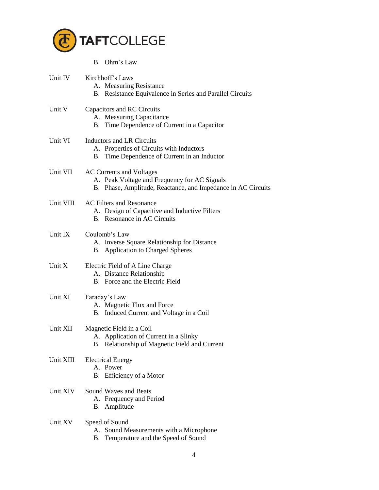

|           | B. Ohm's Law                                                                                                                             |
|-----------|------------------------------------------------------------------------------------------------------------------------------------------|
| Unit IV   | Kirchhoff's Laws<br>A. Measuring Resistance<br>B. Resistance Equivalence in Series and Parallel Circuits                                 |
| Unit V    | Capacitors and RC Circuits<br>A. Measuring Capacitance<br>B. Time Dependence of Current in a Capacitor                                   |
| Unit VI   | <b>Inductors and LR Circuits</b><br>A. Properties of Circuits with Inductors<br>B. Time Dependence of Current in an Inductor             |
| Unit VII  | AC Currents and Voltages<br>A. Peak Voltage and Frequency for AC Signals<br>B. Phase, Amplitude, Reactance, and Impedance in AC Circuits |
| Unit VIII | <b>AC Filters and Resonance</b><br>A. Design of Capacitive and Inductive Filters<br>B. Resonance in AC Circuits                          |
| Unit IX   | Coulomb's Law<br>A. Inverse Square Relationship for Distance<br>B. Application to Charged Spheres                                        |
| Unit X    | Electric Field of A Line Charge<br>A. Distance Relationship<br>B. Force and the Electric Field                                           |
| Unit XI   | Faraday's Law<br>A. Magnetic Flux and Force<br>B. Induced Current and Voltage in a Coil                                                  |
| Unit XII  | Magnetic Field in a Coil<br>A. Application of Current in a Slinky<br>B. Relationship of Magnetic Field and Current                       |
| Unit XIII | <b>Electrical Energy</b><br>A. Power<br>B. Efficiency of a Motor                                                                         |
| Unit XIV  | <b>Sound Waves and Beats</b><br>A. Frequency and Period<br>B. Amplitude                                                                  |
| Unit XV   | Speed of Sound<br>A. Sound Measurements with a Microphone<br>B. Temperature and the Speed of Sound                                       |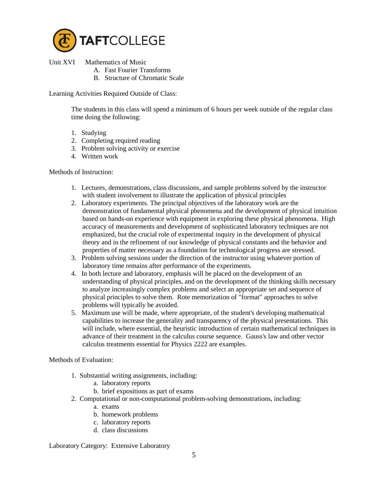

Unit XVI Mathematics of Music

- A. Fast Fourier Transforms
	- B. Structure of Chromatic Scale

Learning Activities Required Outside of Class:

 The students in this class will spend a minimum of 6 hours per week outside of the regular class time doing the following:

- 1. Studying
- 2. Completing required reading
- 3. Problem solving activity or exercise
- 4. Written work

Methods of Instruction:

- 1. Lectures, demonstrations, class discussions, and sample problems solved by the instructor with student involvement to illustrate the application of physical principles
- 2. Laboratory experiments. The principal objectives of the laboratory work are the demonstration of fundamental physical phenomena and the development of physical intuition based on hands-on experience with equipment in exploring these physical phenomena. High accuracy of measurements and development of sophisticated laboratory techniques are not emphasized, but the crucial role of experimental inquiry in the development of physical theory and in the refinement of our knowledge of physical constants and the behavior and properties of matter necessary as a foundation for technological progress are stressed.
- 3. Problem solving sessions under the direction of the instructor using whatever portion of laboratory time remains after performance of the experiments.
- 4. In both lecture and laboratory, emphasis will be placed on the development of an understanding of physical principles, and on the development of the thinking skills necessary to analyze increasingly complex problems and select an appropriate set and sequence of physical principles to solve them. Rote memorization of "format" approaches to solve problems will typically be avoided.
- 5. Maximum use will be made, where appropriate, of the student's developing mathematical capabilities to increase the generality and transparency of the physical presentations. This will include, where essential, the heuristic introduction of certain mathematical techniques in advance of their treatment in the calculus course sequence. Gauss's law and other vector calculus treatments essential for Physics 2222 are examples.

Methods of Evaluation:

- 1. Substantial writing assignments, including:
	- a. laboratory reports
	- b. brief expositions as part of exams
- 2. Computational or non-computational problem-solving demonstrations, including:
	- a. exams
	- b. homework problems
	- c. laboratory reports
	- d. class discussions

Laboratory Category: Extensive Laboratory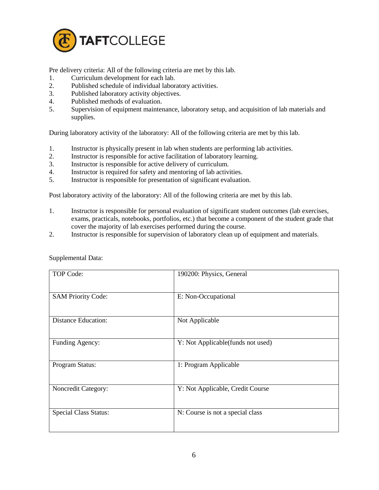

Pre delivery criteria: All of the following criteria are met by this lab.

- 1. Curriculum development for each lab.
- 2. Published schedule of individual laboratory activities.
- 3. Published laboratory activity objectives.
- 4. Published methods of evaluation.
- 5. Supervision of equipment maintenance, laboratory setup, and acquisition of lab materials and supplies.

During laboratory activity of the laboratory: All of the following criteria are met by this lab.

- 1. Instructor is physically present in lab when students are performing lab activities.
- 2. Instructor is responsible for active facilitation of laboratory learning.
- 3. Instructor is responsible for active delivery of curriculum.
- 4. Instructor is required for safety and mentoring of lab activities.
- 5. Instructor is responsible for presentation of significant evaluation.

Post laboratory activity of the laboratory: All of the following criteria are met by this lab.

- 1. Instructor is responsible for personal evaluation of significant student outcomes (lab exercises, exams, practicals, notebooks, portfolios, etc.) that become a component of the student grade that cover the majority of lab exercises performed during the course.
- 2. Instructor is responsible for supervision of laboratory clean up of equipment and materials.

| <b>TOP Code:</b>             | 190200: Physics, General          |
|------------------------------|-----------------------------------|
| <b>SAM Priority Code:</b>    | E: Non-Occupational               |
| <b>Distance Education:</b>   | Not Applicable                    |
| Funding Agency:              | Y: Not Applicable(funds not used) |
| Program Status:              | 1: Program Applicable             |
| Noncredit Category:          | Y: Not Applicable, Credit Course  |
| <b>Special Class Status:</b> | N: Course is not a special class  |

Supplemental Data: